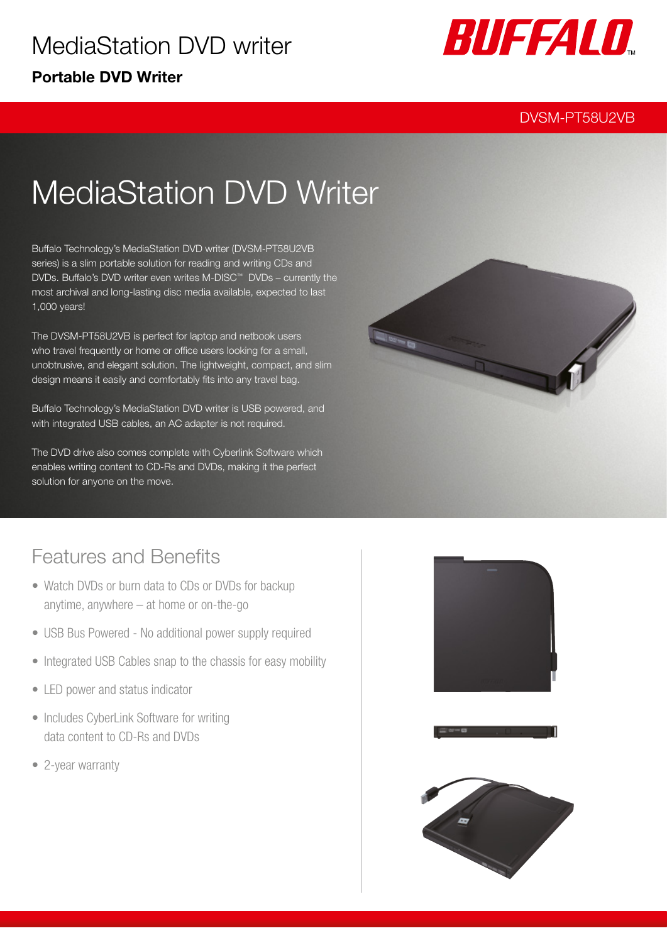

#### DVSM-PT58U2VB

# MediaStation DVD Writer

Buffalo Technology's MediaStation DVD writer (DVSM-PT58U2VB series) is a slim portable solution for reading and writing CDs and DVDs. Buffalo's DVD writer even writes M-DISC™ DVDs – currently the most archival and long-lasting disc media available, expected to last 1,000 years!

The DVSM-PT58U2VB is perfect for laptop and netbook users who travel frequently or home or office users looking for a small, unobtrusive, and elegant solution. The lightweight, compact, and slim design means it easily and comfortably fits into any travel bag.

Buffalo Technology's MediaStation DVD writer is USB powered, and with integrated USB cables, an AC adapter is not required.

The DVD drive also comes complete with Cyberlink Software which enables writing content to CD-Rs and DVDs, making it the perfect solution for anyone on the move.



### Features and Benefits

- Watch DVDs or burn data to CDs or DVDs for backup anytime, anywhere – at home or on-the-go
- USB Bus Powered No additional power supply required
- Integrated USB Cables snap to the chassis for easy mobility
- LED power and status indicator
- Includes CyberLink Software for writing data content to CD-Rs and DVDs
- 2-year warranty